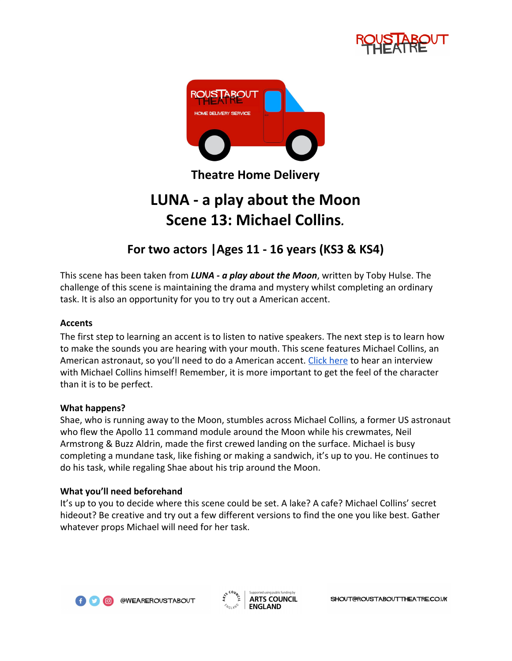



**Theatre Home Delivery**

# **LUNA - a play about the Moon Scene 13: Michael Collins***.*

# **For two actors |Ages 11 - 16 years (KS3 & KS4)**

This scene has been taken from *LUNA - a play about the Moon*, written by Toby Hulse. The challenge of this scene is maintaining the drama and mystery whilst completing an ordinary task. It is also an opportunity for you to try out a American accent.

# **Accents**

The first step to learning an accent is to listen to native speakers. The next step is to learn how to make the sounds you are hearing with your mouth. This scene features Michael Collins, an American astronaut, so you'll need to do a American accent. [Click here](https://www.youtube.com/watch?v=PCJdu5oVa0o) to hear an interview with Michael Collins himself! Remember, it is more important to get the feel of the character than it is to be perfect.

# **What happens?**

Shae, who is running away to the Moon, stumbles across Michael Collins*,* a former US astronaut who flew the Apollo 11 command module around the Moon while his crewmates, Neil Armstrong & Buzz Aldrin, made the first crewed landing on the surface. Michael is busy completing a mundane task, like fishing or making a sandwich, it's up to you. He continues to do his task, while regaling Shae about his trip around the Moon.

# **What you'll need beforehand**

It's up to you to decide where this scene could be set. A lake? A cafe? Michael Collins' secret hideout? Be creative and try out a few different versions to find the one you like best. Gather whatever props Michael will need for her task.



@WEAREROUSTABOUT

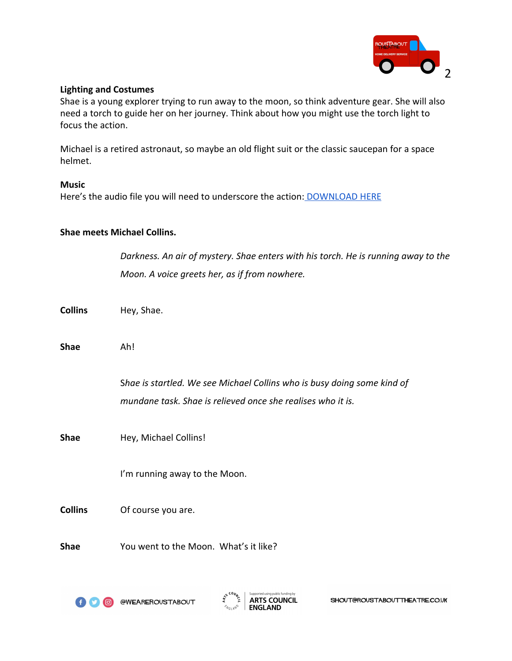

#### **Lighting and Costumes**

Shae is a young explorer trying to run away to the moon, so think adventure gear. She will also need a torch to guide her on her journey. Think about how you might use the torch light to focus the action.

Michael is a retired astronaut, so maybe an old flight suit or the classic saucepan for a space helmet.

#### **Music**

Here's the audio file you will need to underscore the action: [DOWNLOAD HERE](https://drive.google.com/open?id=1KaLHuELQS7prNJrCcvJ_vn29AhOj8I3x)

#### **Shae meets Michael Collins.**

*Darkness. An air of mystery. Shae enters with his torch. He is running away to the Moon. A voice greets her, as if from nowhere.*

- **Collins** Hey, Shae.
- **Shae** Ah!

S*hae is startled. We see Michael Collins who is busy doing some kind of mundane task. Shae is relieved once she realises who it is.*

**Shae** Hey, Michael Collins!

I'm running away to the Moon.

**Collins** Of course you are.

**Shae** You went to the Moon. What's it like?



**@WEAREROUSTABOUT** 



SHOUT@ROUSTABOUTTHEATRE.CO.UK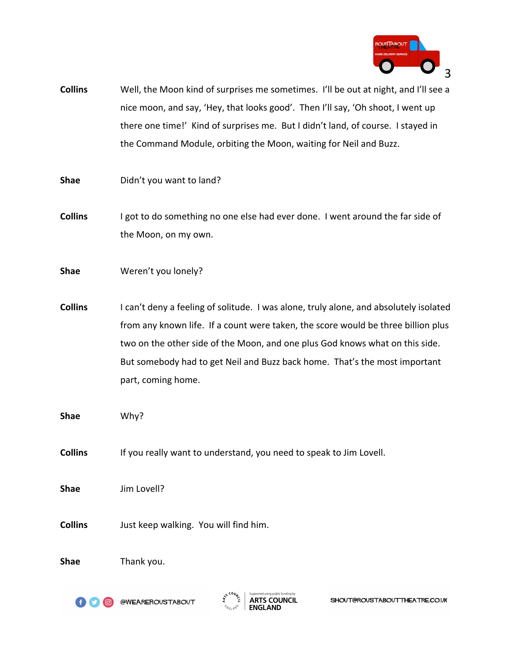

- **Collins** Well, the Moon kind of surprises me sometimes. I'll be out at night, and I'll see a nice moon, and say, 'Hey, that looks good'. Then I'll say, 'Oh shoot, I went up there one time!' Kind of surprises me. But I didn't land, of course. I stayed in the Command Module, orbiting the Moon, waiting for Neil and Buzz.
- **Shae** Didn't you want to land?
- **Collins** I got to do something no one else had ever done. I went around the far side of the Moon, on my own.
- **Shae** Weren't you lonely?
- **Collins** I can't deny a feeling of solitude. I was alone, truly alone, and absolutely isolated from any known life. If a count were taken, the score would be three billion plus two on the other side of the Moon, and one plus God knows what on this side. But somebody had to get Neil and Buzz back home. That's the most important part, coming home.
- **Shae** Why?
- **Collins** If you really want to understand, you need to speak to Jim Lovell.
- **Shae** Jim Lovell?
- **Collins** Just keep walking. You will find him.
- **Shae** Thank you.

@WEAREROUSTABOUT



SHOUT@ROUSTABOUTTHEATRE.CO.UK